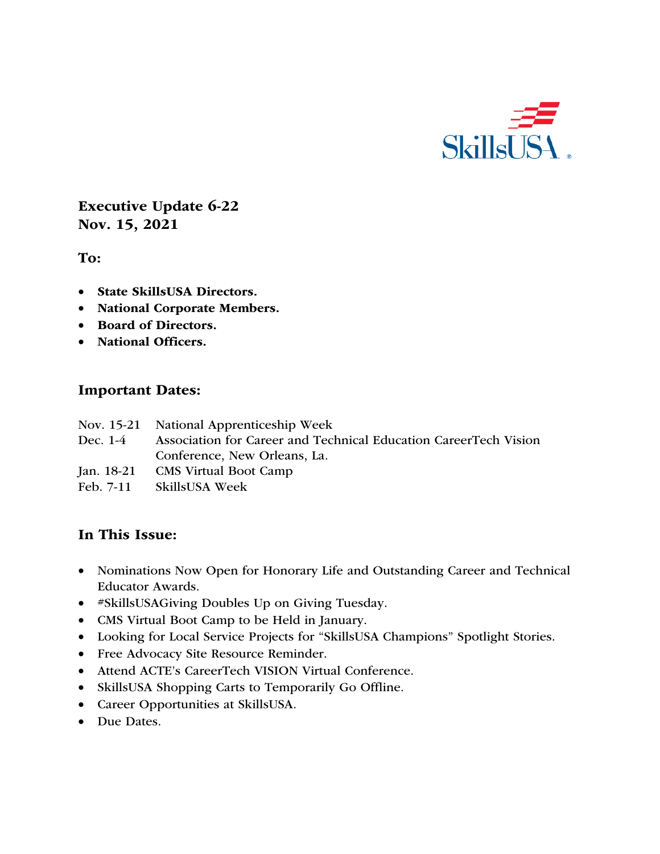

Executive Update 6-22 Nov. 15, 2021

To:

- State SkillsUSA Directors.
- National Corporate Members.
- Board of Directors.
- National Officers.

#### Important Dates:

- Nov. 15-21 National Apprenticeship Week
- Dec. 1-4 Association for Career and Technical Education CareerTech Vision Conference, New Orleans, La.
- Jan. 18-21 CMS Virtual Boot Camp
- Feb. 7-11 SkillsUSA Week

# In This Issue:

- Nominations Now Open for Honorary Life and Outstanding Career and Technical Educator Awards.
- #SkillsUSAGiving Doubles Up on Giving Tuesday.
- CMS Virtual Boot Camp to be Held in January.
- Looking for Local Service Projects for "SkillsUSA Champions" Spotlight Stories.
- Free Advocacy Site Resource Reminder.
- Attend ACTE's CareerTech VISION Virtual Conference.
- SkillsUSA Shopping Carts to Temporarily Go Offline.
- Career Opportunities at SkillsUSA.
- Due Dates.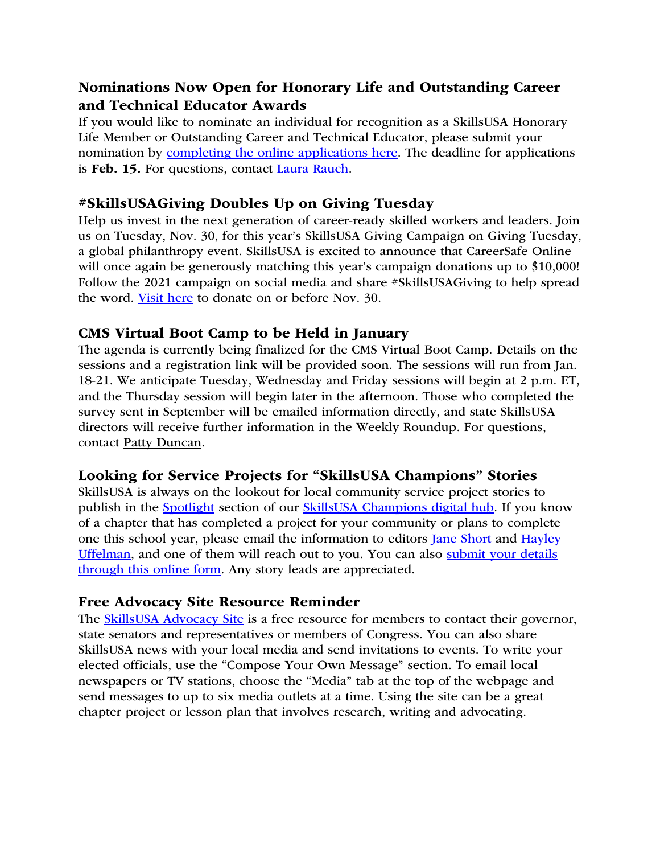# Nominations Now Open for Honorary Life and Outstanding Career and Technical Educator Awards

If you would like to nominate an individual for recognition as a SkillsUSA Honorary Life Member or Outstanding Career and Technical Educator, please submit your nomination by completing the online applications here. The deadline for applications is Feb. 15. For questions, contact Laura Rauch.

### #SkillsUSAGiving Doubles Up on Giving Tuesday

Help us invest in the next generation of career-ready skilled workers and leaders. Join us on Tuesday, Nov. 30, for this year's SkillsUSA Giving Campaign on Giving Tuesday, a global philanthropy event. SkillsUSA is excited to announce that CareerSafe Online will once again be generously matching this year's campaign donations up to \$10,000! Follow the 2021 campaign on social media and share #SkillsUSAGiving to help spread the word. Visit here to donate on or before Nov. 30.

#### CMS Virtual Boot Camp to be Held in January

The agenda is currently being finalized for the CMS Virtual Boot Camp. Details on the sessions and a registration link will be provided soon. The sessions will run from Jan. 18-21. We anticipate Tuesday, Wednesday and Friday sessions will begin at 2 p.m. ET, and the Thursday session will begin later in the afternoon. Those who completed the survey sent in September will be emailed information directly, and state SkillsUSA directors will receive further information in the Weekly Roundup. For questions, contact Patty Duncan.

# Looking for Service Projects for "SkillsUSA Champions" Stories

SkillsUSA is always on the lookout for local community service project stories to publish in the **Spotlight** section of our **SkillsUSA** Champions digital hub. If you know of a chapter that has completed a project for your community or plans to complete one this school year, please email the information to editors Jane Short and Hayley Uffelman, and one of them will reach out to you. You can also submit your details through this online form. Any story leads are appreciated.

#### Free Advocacy Site Resource Reminder

The **SkillsUSA** Advocacy Site is a free resource for members to contact their governor, state senators and representatives or members of Congress. You can also share SkillsUSA news with your local media and send invitations to events. To write your elected officials, use the "Compose Your Own Message" section. To email local newspapers or TV stations, choose the "Media" tab at the top of the webpage and send messages to up to six media outlets at a time. Using the site can be a great chapter project or lesson plan that involves research, writing and advocating.